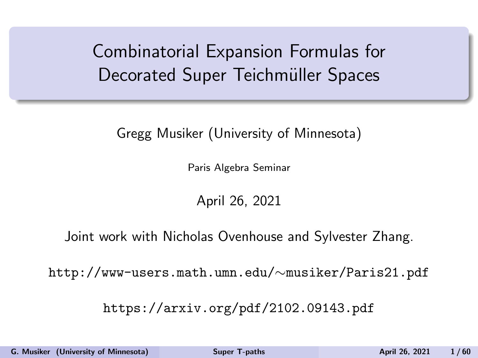# <span id="page-0-0"></span>Combinatorial Expansion Formulas for Decorated Super Teichmüller Spaces

Gregg Musiker (University of Minnesota)

Paris Algebra Seminar

April 26, 2021

Joint work with Nicholas Ovenhouse and Sylvester Zhang.

http://www-users.math.umn.edu/∼musiker/Paris21.pdf

https://arxiv.org/pdf/2102.09143.pdf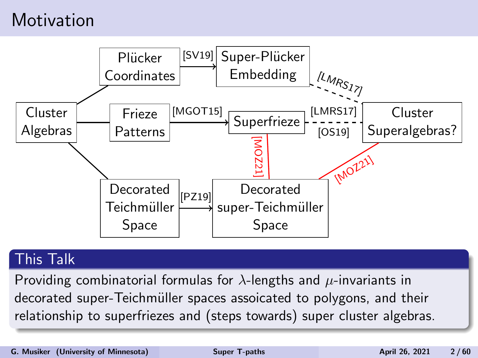# Motivation



### This Talk

Providing combinatorial formulas for  $\lambda$ -lengths and  $\mu$ -invariants in decorated super-Teichmüller spaces assoicated to polygons, and their relationship to superfriezes and (steps towards) super cluster algebras.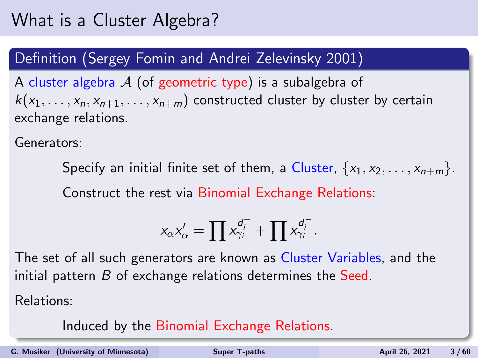# What is a Cluster Algebra?

### Definition (Sergey Fomin and Andrei Zelevinsky 2001)

A cluster algebra  $\mathcal A$  (of geometric type) is a subalgebra of  $k(x_1, \ldots, x_n, x_{n+1}, \ldots, x_{n+m})$  constructed cluster by cluster by certain exchange relations.

Generators:

Specify an initial finite set of them, a Cluster,  $\{x_1, x_2, \ldots, x_{n+m}\}.$ Construct the rest via Binomial Exchange Relations:

$$
x_{\alpha}x'_{\alpha} = \prod x_{\gamma_i}^{d_i^+} + \prod x_{\gamma_i}^{d_i^-}.
$$

The set of all such generators are known as Cluster Variables, and the initial pattern  $B$  of exchange relations determines the Seed.

Relations:

Induced by the Binomial Exchange Relations.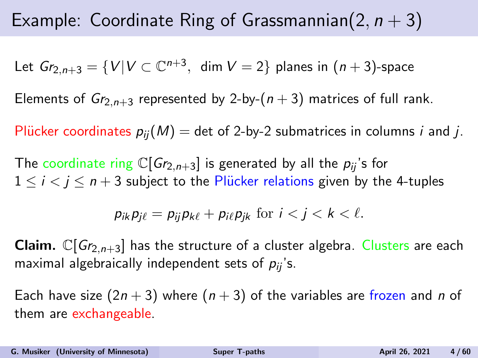# Example: Coordinate Ring of Grassmannian(2,  $n + 3$ )

Let  $Gr_{2,n+3} = \{V | V \subset \mathbb{C}^{n+3}, \text{ dim } V = 2\}$  planes in  $(n+3)$ -space

Elements of  $Gr_{2,n+3}$  represented by 2-by- $(n+3)$  matrices of full rank.

Plücker coordinates  $p_{ii}(M) =$  det of 2-by-2 submatrices in columns *i* and *j*.

The coordinate ring  $\mathbb{C}[Gr_{2,n+3}]$  is generated by all the  $p_{ii}$ 's for  $1 \le i \le j \le n+3$  subject to the Plücker relations given by the 4-tuples

$$
p_{ik}p_{j\ell}=p_{ij}p_{k\ell}+p_{i\ell}p_{jk} \text{ for } i < j < k < \ell.
$$

**Claim.**  $\mathbb{C}[Gr_{2,n+3}]$  has the structure of a cluster algebra. Clusters are each maximal algebraically independent sets of  $p_{ii}$ 's.

Each have size  $(2n + 3)$  where  $(n + 3)$  of the variables are frozen and n of them are exchangeable.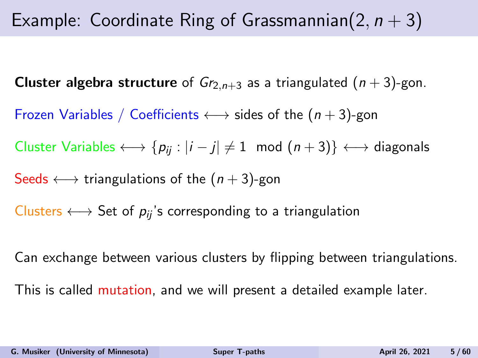# Example: Coordinate Ring of Grassmannian(2,  $n + 3$ )

**Cluster algebra structure** of  $Gr_{2,n+3}$  as a triangulated  $(n+3)$ -gon.

Frozen Variables / Coefficients  $\longleftrightarrow$  sides of the  $(n+3)$ -gon

Cluster Variables  $\longleftrightarrow$   $\{p_{ii} : |i - j| \neq 1 \mod (n + 3)\} \longleftrightarrow$  diagonals

Seeds  $\longleftrightarrow$  triangulations of the  $(n+3)$ -gon

Clusters  $\longleftrightarrow$  Set of  $p_{ii}$ 's corresponding to a triangulation

Can exchange between various clusters by flipping between triangulations.

This is called mutation, and we will present a detailed example later.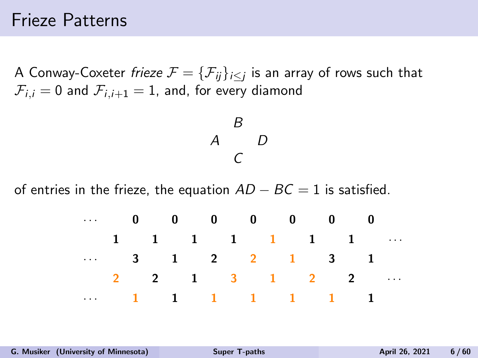## Frieze Patterns

A Conway-Coxeter *frieze*  $\mathcal{F} = \{\mathcal{F}_{ij}\}_{i\leq j}$  is an array of rows such that  $\mathcal{F}_{i,j} = 0$  and  $\mathcal{F}_{i,j+1} = 1$ , and, for every diamond

$$
\begin{array}{cc}\n & B \\
A & D \\
C & \n\end{array}
$$

of entries in the frieze, the equation  $AD - BC = 1$  is satisfied.

| $\begin{array}{ccccccccccccccccc} \cdots & & 0 & & 0 & & 0 & & 0 & & 0 & & 0 & & 0 \end{array}$ |  |  |  |  |  |  |  |  |
|-------------------------------------------------------------------------------------------------|--|--|--|--|--|--|--|--|
| $1 \quad 1 \quad 1 \quad 1 \quad 1 \quad 1 \quad 1 \quad 1 \quad \cdots$                        |  |  |  |  |  |  |  |  |
| $\cdots$ 3 1 2 2 1 3 1                                                                          |  |  |  |  |  |  |  |  |
| 2 2 1 3 1 2 2 …                                                                                 |  |  |  |  |  |  |  |  |
| $\cdots$ 1 1 1 1 1 1 1 1                                                                        |  |  |  |  |  |  |  |  |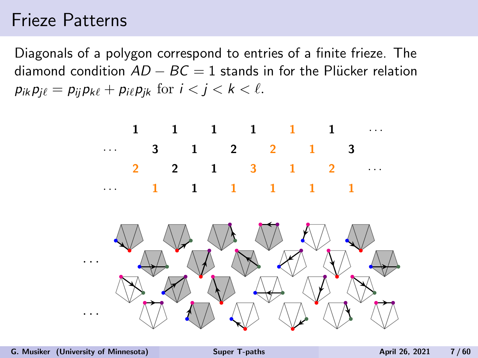## Frieze Patterns

Diagonals of a polygon correspond to entries of a finite frieze. The diamond condition  $AD - BC = 1$  stands in for the Plücker relation  $p_{ik} p_{i\ell} = p_{ii} p_{k\ell} + p_{i\ell} p_{ik}$  for  $i < j < k < \ell$ .

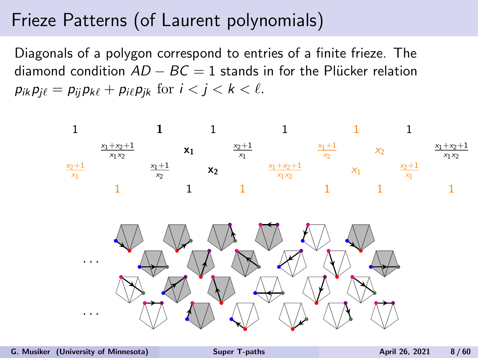# Frieze Patterns (of Laurent polynomials)

Diagonals of a polygon correspond to entries of a finite frieze. The diamond condition  $AD - BC = 1$  stands in for the Plücker relation  $p_{ik} p_{i\ell} = p_{ii} p_{k\ell} + p_{i\ell} p_{ik}$  for  $i < j < k < \ell$ .

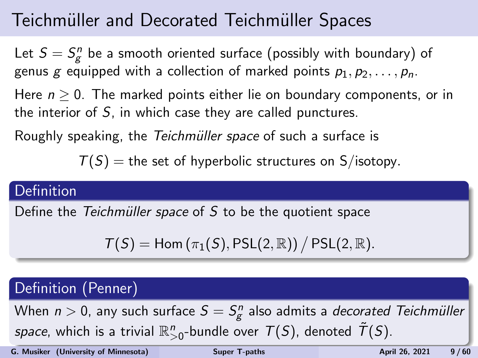# Teichmüller and Decorated Teichmüller Spaces

Let  $S = S_{\mathcal{g}}^n$  be a smooth oriented surface (possibly with boundary) of genus g equipped with a collection of marked points  $p_1, p_2, \ldots, p_n$ . Here  $n > 0$ . The marked points either lie on boundary components, or in the interior of  $S$ , in which case they are called punctures.

Roughly speaking, the Teichmüller space of such a surface is

 $T(S)$  = the set of hyperbolic structures on S/isotopy.

#### **Definition**

Define the Teichmüller space of  $S$  to be the quotient space

$$
\mathcal{T}(S) = \text{Hom}(\pi_1(S), \text{PSL}(2,\mathbb{R})) / \text{PSL}(2,\mathbb{R}).
$$

#### Definition (Penner)

When  $n > 0$ , any such surface  $S = S^n_{\mathcal{g}}$  also admits a *decorated Teichmüller space*, which is a trivial  $\mathbb{R}^n_{>0}$ -bundle over  $\mathcal{T}(S)$ , denoted  $\tilde{\mathcal{T}}(S)$ .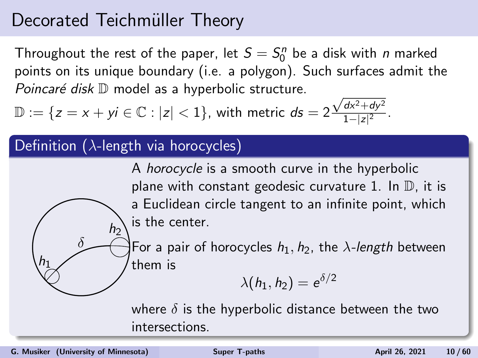## Decorated Teichmüller Theory

Throughout the rest of the paper, let  $S = S_0^n$  be a disk with  $n$  marked points on its unique boundary (i.e. a polygon). Such surfaces admit the *Poincaré disk*  $D$  model as a hyperbolic structure. √

$$
\mathbb{D} := \{ z = x + yi \in \mathbb{C} : |z| < 1 \}, \text{ with metric } ds = 2 \frac{\sqrt{dx^2 + dy^2}}{1 - |z|^2}.
$$

### Definition ( $\lambda$ -length via horocycles)

 $h_2$ 

A horocycle is a smooth curve in the hyperbolic plane with constant geodesic curvature 1. In  $\mathbb{D}$ , it is a Euclidean circle tangent to an infinite point, which is the center.

For a pair of horocycles  $h_1, h_2$ , the  $\lambda$ -length between them is

 $\lambda(h_1,h_2)=\mathrm{e}^{\delta/2}$ 

where  $\delta$  is the hyperbolic distance between the two intersections.

δ

 $h_1$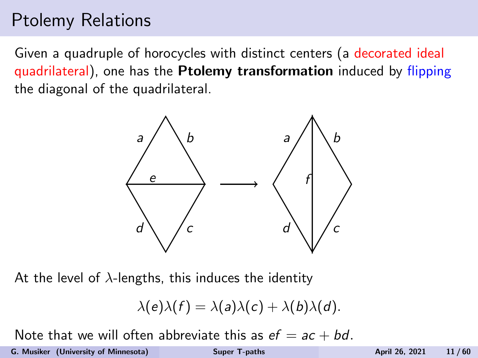## Ptolemy Relations

Given a quadruple of horocycles with distinct centers (a decorated ideal quadrilateral), one has the Ptolemy transformation induced by flipping the diagonal of the quadrilateral.



At the level of  $\lambda$ -lengths, this induces the identity

$$
\lambda(e)\lambda(f)=\lambda(a)\lambda(c)+\lambda(b)\lambda(d).
$$

Note that we will often abbreviate this as  $ef = ac + bd$ .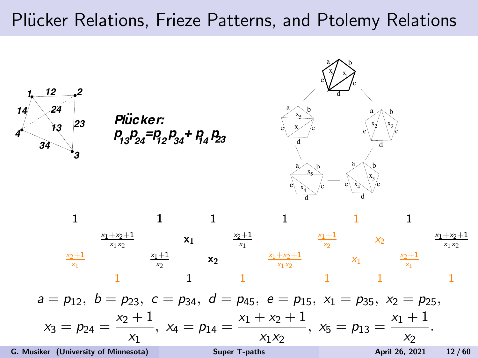### Plücker Relations, Frieze Patterns, and Ptolemy Relations

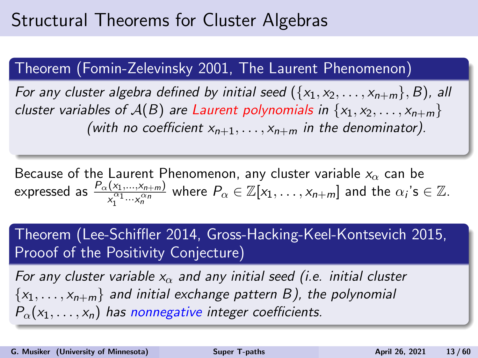## Structural Theorems for Cluster Algebras

### Theorem (Fomin-Zelevinsky 2001, The Laurent Phenomenon)

For any cluster algebra defined by initial seed  $({x_1, x_2, \ldots, x_{n+m}}, B)$ , all cluster variables of  $A(B)$  are Laurent polynomials in  $\{x_1, x_2, \ldots, x_{n+m}\}$ (with no coefficient  $x_{n+1}, \ldots, x_{n+m}$  in the denominator).

Because of the Laurent Phenomenon, any cluster variable  $x_{\alpha}$  can be expressed as  $\frac{P_{\alpha}(x_1,...,x_{n+m})}{x_1^{\alpha_1}...x_n^{\alpha_n}}$  where  $P_{\alpha}\in\mathbb{Z}[x_1,\ldots,x_{n+m}]$  and the  $\alpha_i$ 's  $\in\mathbb{Z}$ .

Theorem (Lee-Schiffler 2014, Gross-Hacking-Keel-Kontsevich 2015, Prooof of the Positivity Conjecture)

For any cluster variable  $x_{\alpha}$  and any initial seed (i.e. initial cluster  $\{x_1, \ldots, x_{n+m}\}\$  and initial exchange pattern B), the polynomial  $P_{\alpha}(x_1,\ldots,x_n)$  has nonnegative integer coefficients.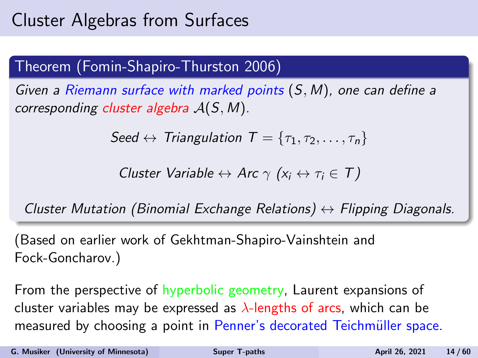# Cluster Algebras from Surfaces

### Theorem (Fomin-Shapiro-Thurston 2006)

Given a Riemann surface with marked points (S, M), one can define a corresponding cluster algebra  $A(S, M)$ .

$$
Seed \leftrightarrow Triangulation \ \ T = \{\tau_1, \tau_2, \ldots, \tau_n\}
$$

Cluster Variable  $\leftrightarrow$  Arc  $\gamma$  ( $x_i \leftrightarrow \tau_i \in \mathcal{T}$ )

Cluster Mutation (Binomial Exchange Relations)  $\leftrightarrow$  Flipping Diagonals.

(Based on earlier work of Gekhtman-Shapiro-Vainshtein and Fock-Goncharov.)

From the perspective of hyperbolic geometry, Laurent expansions of cluster variables may be expressed as  $\lambda$ -lengths of arcs, which can be measured by choosing a point in Penner's decorated Teichmüller space.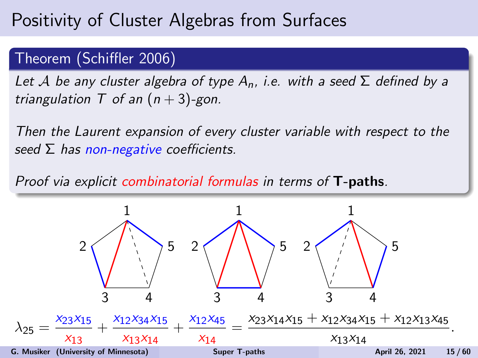### Theorem (Schiffler 2006)

Let A be any cluster algebra of type  $A_n$ , i.e. with a seed  $\Sigma$  defined by a triangulation  $T$  of an  $(n+3)$ -gon.

Then the Laurent expansion of every cluster variable with respect to the seed  $\Sigma$  has non-negative coefficients.

Proof via explicit combinatorial formulas in terms of T-paths.

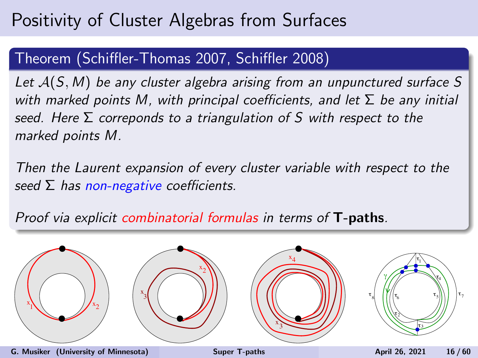### Theorem (Schiffler-Thomas 2007, Schiffler 2008)

Let  $A(S, M)$  be any cluster algebra arising from an unpunctured surface S with marked points M, with principal coefficients, and let  $\Sigma$  be any initial seed. Here  $\Sigma$  correponds to a triangulation of S with respect to the marked points M.

Then the Laurent expansion of every cluster variable with respect to the seed  $\Sigma$  has non-negative coefficients.

Proof via explicit combinatorial formulas in terms of T-paths.

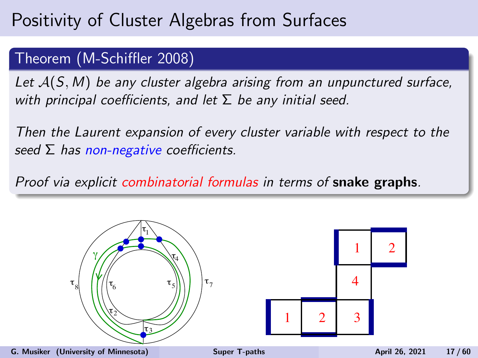### Theorem (M-Schiffler 2008)

Let  $A(S, M)$  be any cluster algebra arising from an unpunctured surface, with principal coefficients, and let  $\Sigma$  be any initial seed.

Then the Laurent expansion of every cluster variable with respect to the seed  $Σ$  has non-negative coefficients.

Proof via explicit combinatorial formulas in terms of snake graphs.

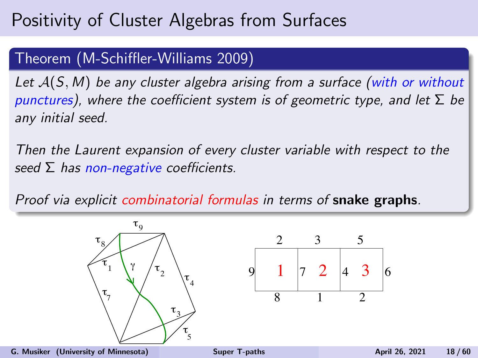### Theorem (M-Schiffler-Williams 2009)

Let  $A(S, M)$  be any cluster algebra arising from a surface (with or without punctures), where the coefficient system is of geometric type, and let  $\Sigma$  be any initial seed.

Then the Laurent expansion of every cluster variable with respect to the seed  $Σ$  has non-negative coefficients.

Proof via explicit combinatorial formulas in terms of snake graphs.



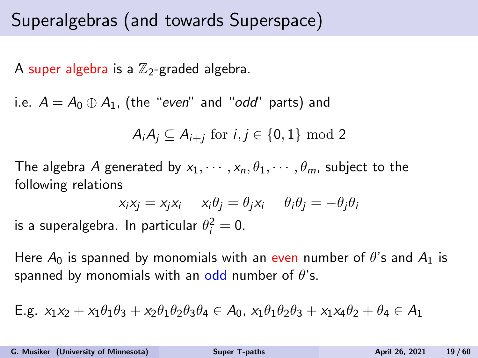# Superalgebras (and towards Superspace)

A super algebra is a  $\mathbb{Z}_2$ -graded algebra.

i.e.  $A = A_0 \oplus A_1$ , (the "even" and "odd" parts) and

$$
A_iA_j \subseteq A_{i+j} \text{ for } i,j \in \{0,1\} \text{ mod } 2
$$

The algebra A generated by  $x_1, \dots, x_n, \theta_1, \dots, \theta_m$ , subject to the following relations

$$
x_i x_j = x_j x_i \t x_i \theta_j = \theta_j x_i \t \theta_i \theta_j = -\theta_j \theta_i
$$

is a superalgebra. In particular  $\theta_i^2=0.$ 

Here  $A_0$  is spanned by monomials with an even number of  $\theta$ 's and  $A_1$  is spanned by monomials with an odd number of  $\theta$ 's.

E.g. 
$$
x_1x_2 + x_1\theta_1\theta_3 + x_2\theta_1\theta_2\theta_3\theta_4 \in A_0
$$
,  $x_1\theta_1\theta_2\theta_3 + x_1x_4\theta_2 + \theta_4 \in A_1$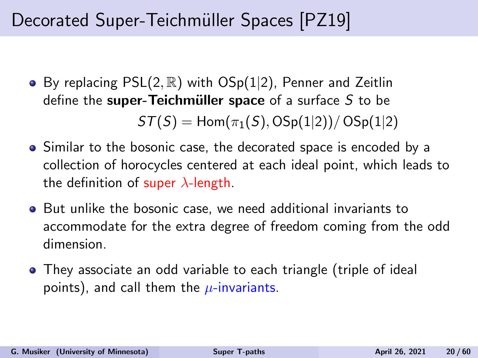# Decorated Super-Teichmüller Spaces [\[PZ19\]](#page-59-3)

• By replacing  $PSL(2, \mathbb{R})$  with  $OSp(1|2)$ , Penner and Zeitlin define the super-Teichmüller space of a surface  $S$  to be

 $ST(S) = Hom(\pi_1(S), OSp(1|2))/OSp(1|2)$ 

- Similar to the bosonic case, the decorated space is encoded by a collection of horocycles centered at each ideal point, which leads to the definition of super  $\lambda$ -length.
- But unlike the bosonic case, we need additional invariants to accommodate for the extra degree of freedom coming from the odd dimension.
- They associate an odd variable to each triangle (triple of ideal points), and call them the  $\mu$ -invariants.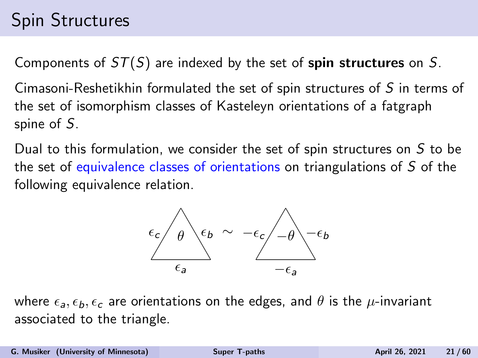# Spin Structures

Components of  $ST(S)$  are indexed by the set of spin structures on S.

Cimasoni-Reshetikhin formulated the set of spin structures of S in terms of the set of isomorphism classes of Kasteleyn orientations of a fatgraph spine of S.

Dual to this formulation, we consider the set of spin structures on S to be the set of equivalence classes of orientations on triangulations of S of the following equivalence relation.



where  $\epsilon_a, \epsilon_b, \epsilon_c$  are orientations on the edges, and  $\theta$  is the  $\mu$ -invariant associated to the triangle.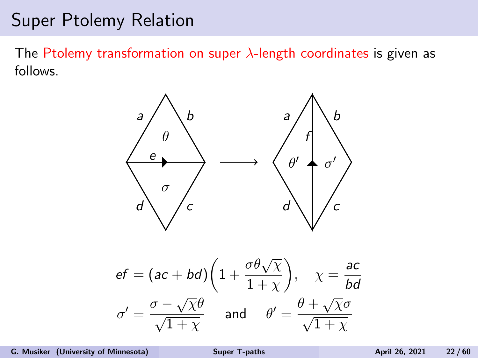The Ptolemy transformation on super  $\lambda$ -length coordinates is given as follows.



$$
ef = (ac + bd) \left( 1 + \frac{\sigma \theta \sqrt{\chi}}{1 + \chi} \right), \quad \chi = \frac{ac}{bd}
$$

$$
\sigma' = \frac{\sigma - \sqrt{\chi} \theta}{\sqrt{1 + \chi}} \quad \text{and} \quad \theta' = \frac{\theta + \sqrt{\chi}\sigma}{\sqrt{1 + \chi}}
$$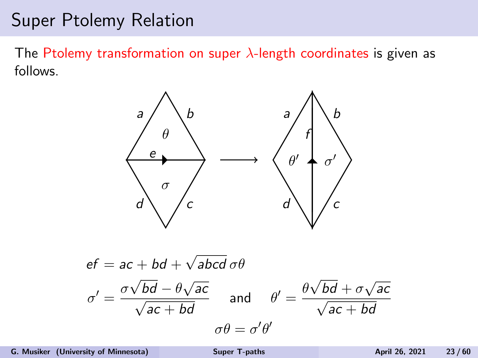The Ptolemy transformation on super  $\lambda$ -length coordinates is given as follows.



$$
ef = ac + bd + \sqrt{abcd} \space \sigma\theta
$$

$$
\sigma' = \frac{\sigma\sqrt{bd} - \theta\sqrt{ac}}{\sqrt{ac + bd}} \quad \text{and} \quad \theta' = \frac{\theta\sqrt{bd} + \sigma\sqrt{ac}}{\sqrt{ac + bd}}
$$

$$
\sigma\theta = \sigma'\theta'
$$

G. Musiker (University of Minnesota) [Super T-paths](#page-0-0) April 26, 2021 23/60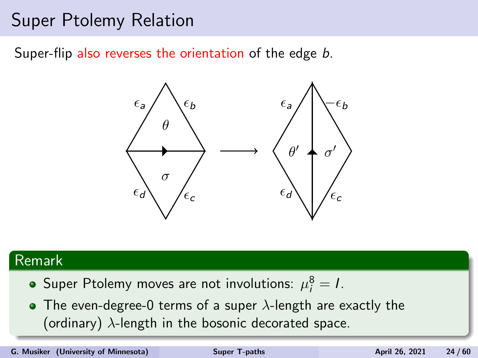Super-flip also reverses the orientation of the edge b.



#### Remark

- Super Ptolemy moves are not involutions:  $\mu_i^8 = I$ .
- The even-degree-0 terms of a super  $\lambda$ -length are exactly the (ordinary)  $\lambda$ -length in the bosonic decorated space.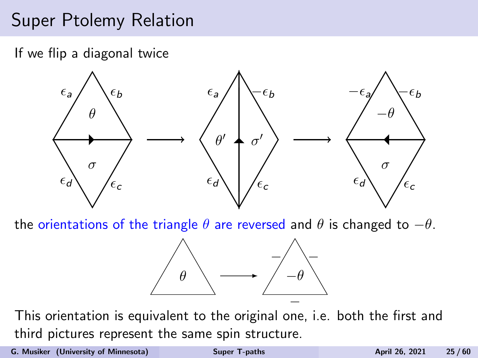If we flip a diagonal twice



the orientations of the triangle  $\theta$  are reversed and  $\theta$  is changed to  $-\theta$ .



This orientation is equivalent to the original one, i.e. both the first and third pictures represent the same spin structure.

G. Musiker (University of Minnesota) [Super T-paths](#page-0-0) April 26, 2021 25/60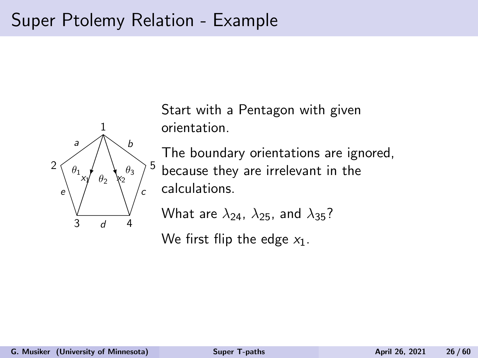## Super Ptolemy Relation - Example



Start with a Pentagon with given orientation.

The boundary orientations are ignored, because they are irrelevant in the calculations.

What are  $\lambda_{24}$ ,  $\lambda_{25}$ , and  $\lambda_{35}$ ?

We first flip the edge  $x_1$ .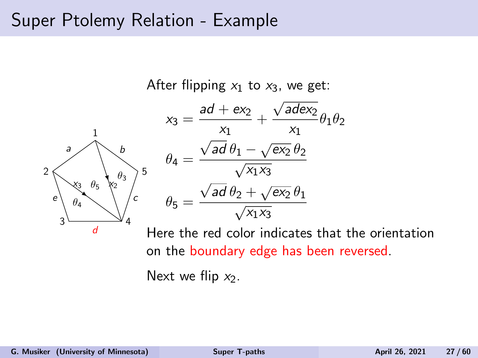## Super Ptolemy Relation - Example



Here the red color indicates that the orientation on the boundary edge has been reversed.

Next we flip  $x_2$ .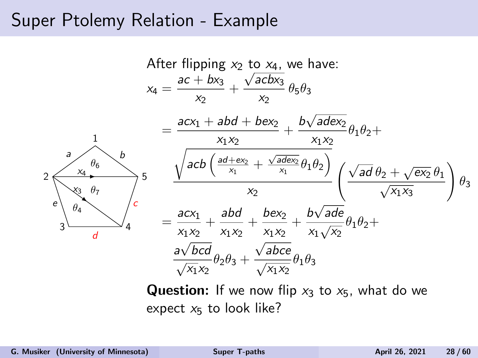### Super Ptolemy Relation - Example



**Question:** If we now flip  $x_3$  to  $x_5$ , what do we expect  $x_5$  to look like?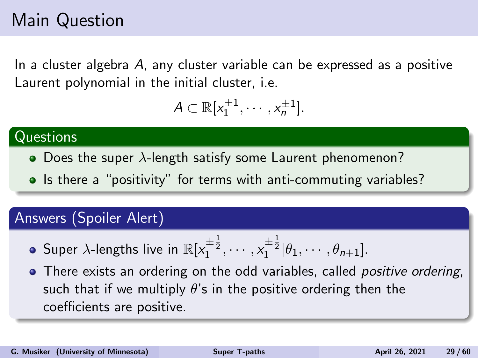# Main Question

In a cluster algebra  $A$ , any cluster variable can be expressed as a positive Laurent polynomial in the initial cluster, i.e.

$$
A\subset\mathbb{R}[x_1^{\pm 1},\cdots,x_n^{\pm 1}].
$$

#### **Questions**

- Does the super  $\lambda$ -length satisfy some Laurent phenomenon?
- Is there a "positivity" for terms with anti-commuting variables?

### Answers (Spoiler Alert)

- Super  $\lambda$ -lengths live in  $\mathbb{R}[x_1^{\pm \frac{1}{2}}, \cdots, x_1^{\pm \frac{1}{2}}|\theta_1, \cdots, \theta_{n+1}].$
- There exists an ordering on the odd variables, called *positive ordering*, such that if we multiply  $\theta$ 's in the positive ordering then the coefficients are positive.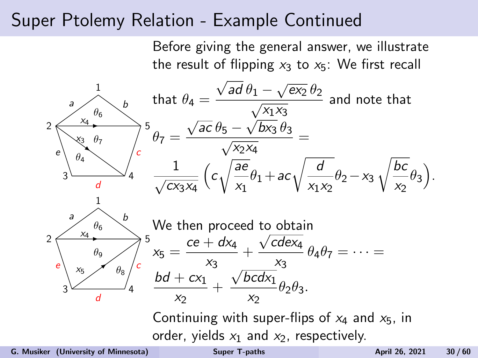## Super Ptolemy Relation - Example Continued

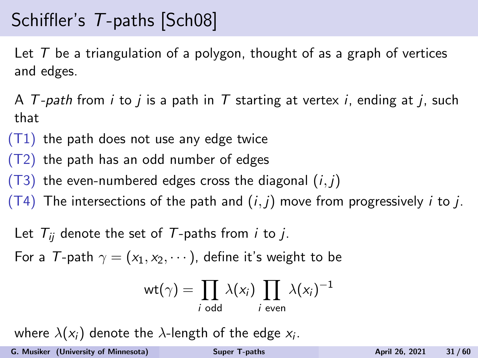# Schiffler's T-paths [\[Sch08\]](#page-59-6)

Let  $T$  be a triangulation of a polygon, thought of as a graph of vertices and edges.

A T-path from i to j is a path in T starting at vertex i, ending at j, such that

- $(T1)$  the path does not use any edge twice
- (T2) the path has an odd number of edges
- $(T3)$  the even-numbered edges cross the diagonal  $(i, j)$
- (T4) The intersections of the path and  $(i, j)$  move from progressively i to j.
	- Let  $T_{ii}$  denote the set of T-paths from *i* to *j*.

For a T-path  $\gamma = (x_1, x_2, \dots)$ , define it's weight to be

$$
\text{wt}(\gamma) = \prod_{i \text{ odd}} \lambda(x_i) \prod_{i \text{ even}} \lambda(x_i)^{-1}
$$

where  $\lambda(\mathsf{x}_i)$  denote the  $\lambda$ -length of the edge  $\mathsf{x}_i.$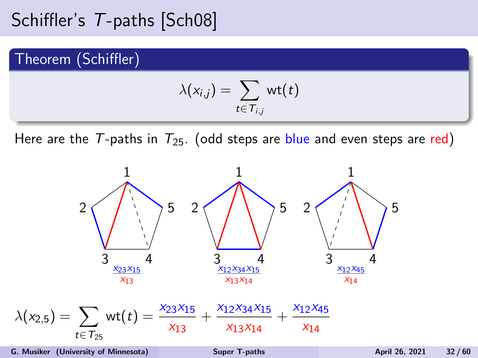# Schiffler's T-paths [\[Sch08\]](#page-59-6)

### Theorem (Schiffler)

$$
\lambda(x_{i,j}) = \sum_{t \in \mathcal{T}_{i,j}} \mathsf{wt}(t)
$$

Here are the T-paths in  $T_{25}$ . (odd steps are blue and even steps are red)

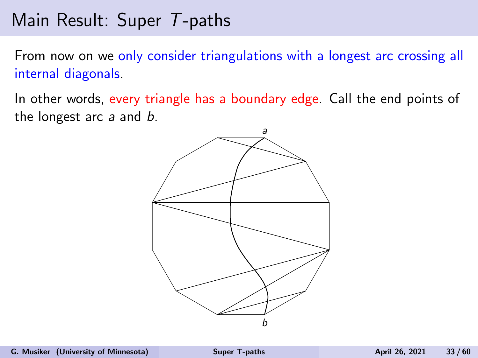## Main Result: Super T-paths

From now on we only consider triangulations with a longest arc crossing all internal diagonals.

In other words, every triangle has a boundary edge. Call the end points of the longest arc a and b.

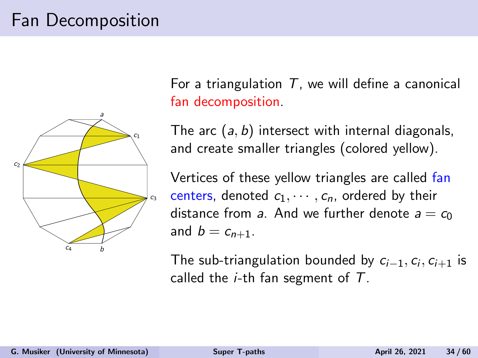# Fan Decomposition



For a triangulation  $T$ , we will define a canonical fan decomposition.

The arc  $(a, b)$  intersect with internal diagonals, and create smaller triangles (colored yellow).

Vertices of these yellow triangles are called fan centers, denoted  $c_1, \dots, c_n$ , ordered by their distance from a. And we further denote  $a = c_0$ and  $b = c_{n+1}$ .

The sub-triangulation bounded by  $c_{i-1}, c_i, c_{i+1}$  is called the  $i$ -th fan segment of  $T$ .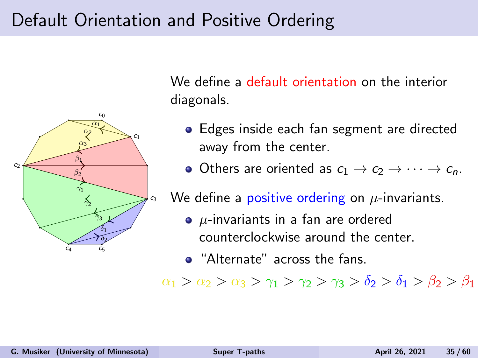## Default Orientation and Positive Ordering



We define a default orientation on the interior diagonals.

- Edges inside each fan segment are directed away from the center.
- Others are oriented as  $c_1 \rightarrow c_2 \rightarrow \cdots \rightarrow c_n$ .

We define a positive ordering on  $\mu$ -invariants.

- $\bullet$   $\mu$ -invariants in a fan are ordered counterclockwise around the center.
- **a** "Alternate" across the fans.

 $\alpha_1 > \alpha_2 > \alpha_3 > \gamma_1 > \gamma_2 > \gamma_3 > \delta_2 > \delta_1 > \beta_2 > \beta_1$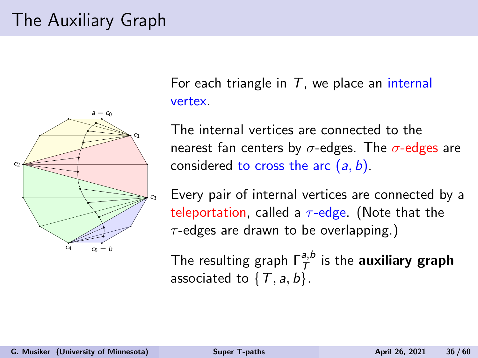# The Auxiliary Graph



For each triangle in  $T$ , we place an internal vertex.

The internal vertices are connected to the nearest fan centers by  $\sigma$ -edges. The  $\sigma$ -edges are considered to cross the arc  $(a, b)$ .

Every pair of internal vertices are connected by a teleportation, called a  $\tau$ -edge. (Note that the  $\tau$ -edges are drawn to be overlapping.)

The resulting graph  $\Gamma^{a,b}_\mathcal{T}$  is the **auxiliary graph** associated to  $\{T, a, b\}$ .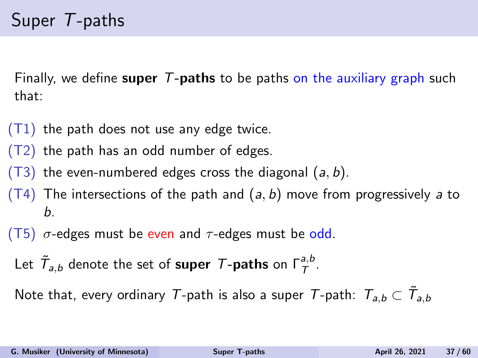Finally, we define super  $T$ -paths to be paths on the auxiliary graph such that:

- $(T1)$  the path does not use any edge twice.
- (T2) the path has an odd number of edges.
- $(T3)$  the even-numbered edges cross the diagonal  $(a, b)$ .
- $(T4)$  The intersections of the path and  $(a, b)$  move from progressively a to b.
- (T5)  $\sigma$ -edges must be even and  $\tau$ -edges must be odd.
	- Let  $\tilde{\mathcal{T}}_{a,b}$  denote the set of  $\mathsf{super}\ \ \mathcal{T}\text{-paths}$  on  $\mathsf{\Gamma}_\mathcal{T}^{a,b}.$

Note that, every ordinary  $\mathcal T$ -path is also a super  $\mathcal T$ -path:  $\mathcal T_{\mathsf a,\mathsf b}\subset \tilde{\mathcal T}_{\mathsf a,\mathsf b}$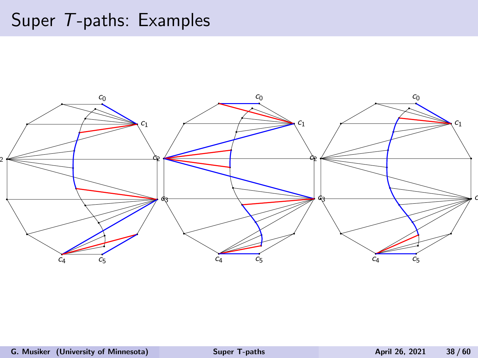## Super T-paths: Examples

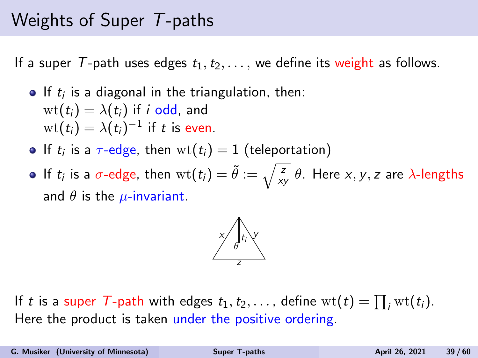## Weights of Super T-paths

If a super T-path uses edges  $t_1, t_2, \ldots$ , we define its weight as follows.

- If  $t_i$  is a diagonal in the triangulation, then:  $wt(t_i) = \lambda(t_i)$  if *i* odd, and  $\mathrm{wt}(t_i)=\lambda(t_i)^{-1}$  if t is even.
- If  $t_i$  is a  $\tau$ -edge, then  $\operatorname{wt}(t_i) = 1$  (teleportation)
- If  $t_i$  is a  $\sigma$ -edge, then  $\mathrm{wt}(t_i)=\widetilde{\theta}:=\sqrt{\frac{z}{\mathsf{x}\mathsf{y}}}\;\theta.$  Here  $\mathsf{x},\mathsf{y},\mathsf{z}$  are  $\lambda$ -lengths and  $\theta$  is the  $\mu$ -invariant.



If t is a super T-path with edges  $t_1, t_2, \ldots$ , define  $\text{wt}(t) = \prod_i \text{wt}(t_i)$ . Here the product is taken under the positive ordering.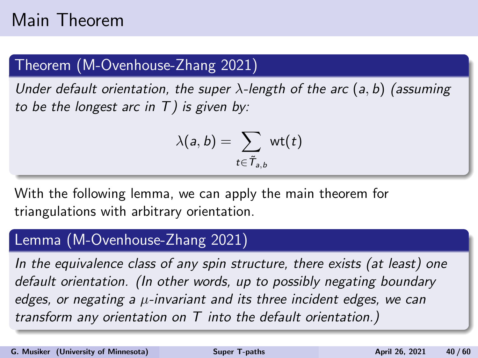## Main Theorem

### Theorem (M-Ovenhouse-Zhang 2021)

Under default orientation, the super  $\lambda$ -length of the arc  $(a, b)$  (assuming to be the longest arc in  $T$ ) is given by:

$$
\lambda(a,b)=\sum_{t\in \tilde{\mathcal{T}}_{a,b}}\mathsf{wt}(t)
$$

With the following lemma, we can apply the main theorem for triangulations with arbitrary orientation.

### Lemma (M-Ovenhouse-Zhang 2021)

In the equivalence class of any spin structure, there exists (at least) one default orientation. (In other words, up to possibly negating boundary edges, or negating a  $\mu$ -invariant and its three incident edges, we can transform any orientation on T into the default orientation.)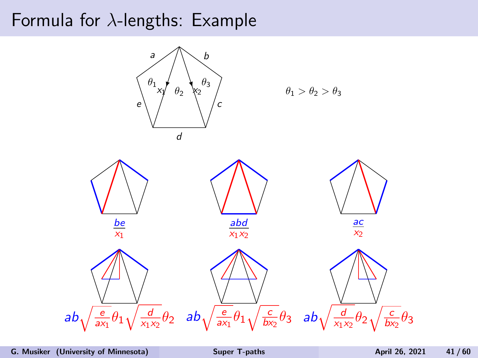# Formula for λ-lengths: Example

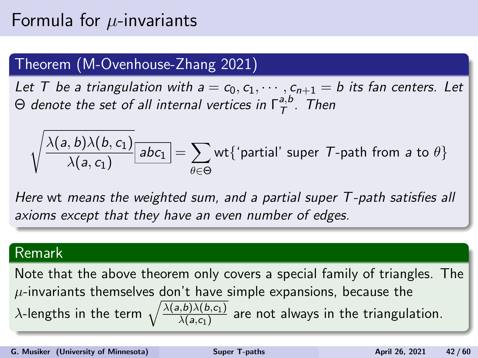# Formula for  $\mu$ -invariants

### Theorem (M-Ovenhouse-Zhang 2021)

Let T be a triangulation with  $a = c_0, c_1, \dots, c_{n+1} = b$  its fan centers. Let  $\Theta$  denote the set of all internal vertices in  $\mathsf{\Gamma}^{a,b}_\mathcal{T}$  $T^{\mu}$ . Then

$$
\sqrt{\frac{\lambda(a,b)\lambda(b,c_1)}{\lambda(a,c_1)}}\boxed{abc_1} = \sum_{\theta \in \Theta} \textsf{wt} \{ \textsf{'partial'} \textsf{~super~} \mathcal{T}\textsf{-path from a to }\theta \}
$$

Here wt means the weighted sum, and a partial super T-path satisfies all axioms except that they have an even number of edges.

#### Remark

Note that the above theorem only covers a special family of triangles. The  $\mu$ -invariants themselves don't have simple expansions, because the  $\lambda$ -lengths in the term  $\sqrt{\frac{\lambda(a,b)\lambda(b,c_1)}{\lambda(a,c_1)}}$  are not always in the triangulation.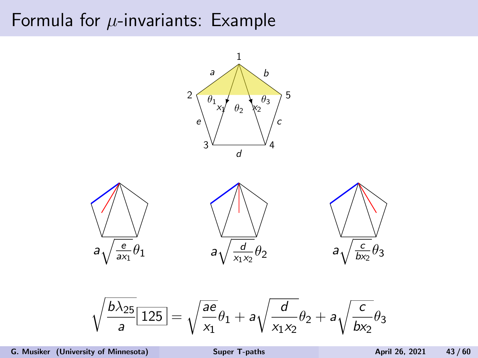## Formula for  $\mu$ -invariants: Example



$$
\sqrt{\frac{b\lambda_{25}}{a}}\boxed{125} = \sqrt{\frac{ae}{x_1}}\theta_1 + a\sqrt{\frac{d}{x_1x_2}}\theta_2 + a\sqrt{\frac{c}{bx_2}}\theta_3
$$

G. Musiker (University of Minnesota) [Super T-paths](#page-0-0) April 26, 2021 43/60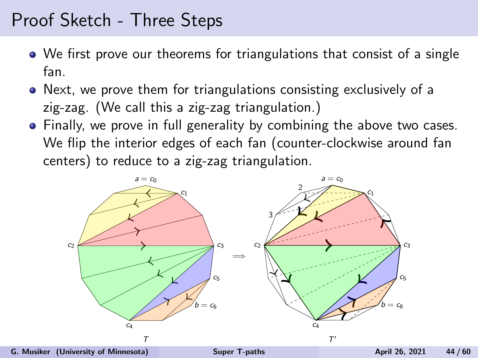## Proof Sketch - Three Steps

- We first prove our theorems for triangulations that consist of a single fan.
- Next, we prove them for triangulations consisting exclusively of a zig-zag. (We call this a zig-zag triangulation.)
- Finally, we prove in full generality by combining the above two cases. We flip the interior edges of each fan (counter-clockwise around fan centers) to reduce to a zig-zag triangulation.

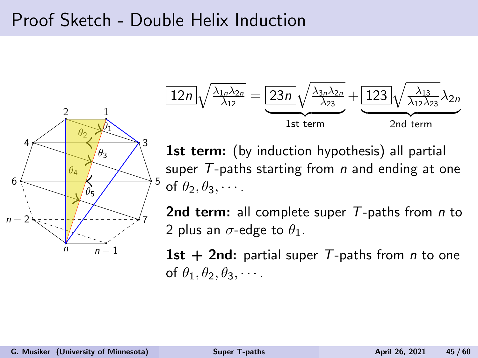## Proof Sketch - Double Helix Induction



$$
\boxed{12n}\sqrt{\frac{\lambda_{1n}\lambda_{2n}}{\lambda_{12}}} = \underbrace{\boxed{23n}\sqrt{\frac{\lambda_{3n}\lambda_{2n}}{\lambda_{23}}}}_{1\text{st term}} + \underbrace{\boxed{123}\sqrt{\frac{\lambda_{13}}{\lambda_{12}\lambda_{23}}}\lambda_{2n}}_{2nd \text{ term}}
$$

1st term: (by induction hypothesis) all partial super  $T$ -paths starting from  $n$  and ending at one of  $\theta_2, \theta_3, \cdots$ .

2nd term: all complete super T-paths from n to 2 plus an  $\sigma$ -edge to  $\theta_1$ .

1st  $+$  2nd: partial super T-paths from *n* to one of  $\theta_1, \theta_2, \theta_3, \cdots$ .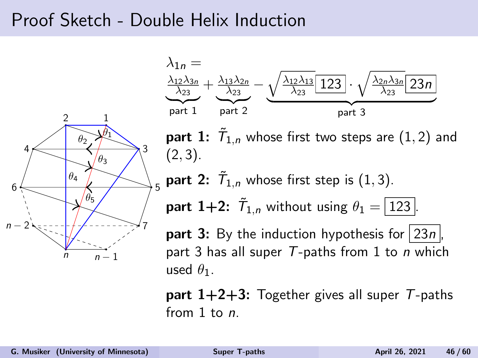## Proof Sketch - Double Helix Induction



part  $1+2+3$ : Together gives all super T-paths from 1 to  $n$ .

 $n - 1$ 

2 1

 $\theta_4$ 

 $\partial_2 \rightarrow 0$  $\theta_3$ 

 $\theta_5$ 

4

6

 $n-2$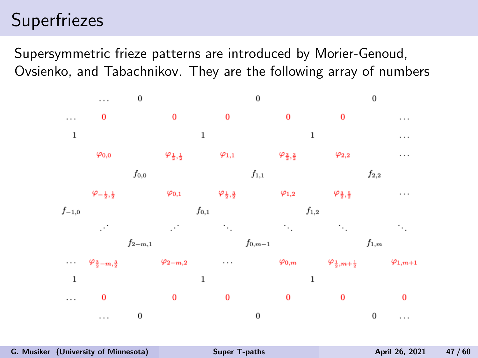# Superfriezes

Supersymmetric frieze patterns are introduced by Morier-Genoud, Ovsienko, and Tabachnikov. They are the following array of numbers

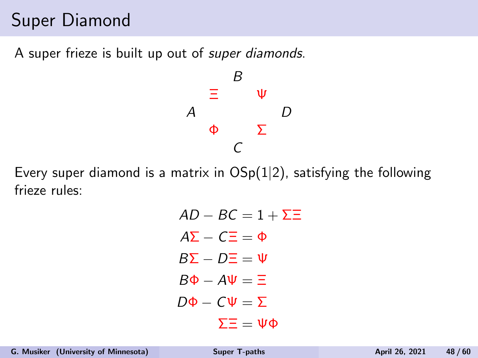# Super Diamond

A super frieze is built up out of super diamonds.



Every super diamond is a matrix in  $OSp(1|2)$ , satisfying the following frieze rules:

> $AD - BC = 1 + \Sigma \Xi$  $A\Sigma - C\Xi = \Phi$  $B\Sigma - D\Xi = \Psi$  $B\Phi - A\Psi = \Xi$  $D\Phi - C\Psi = \Sigma$  $Σ=$   $=$   $ψΦ$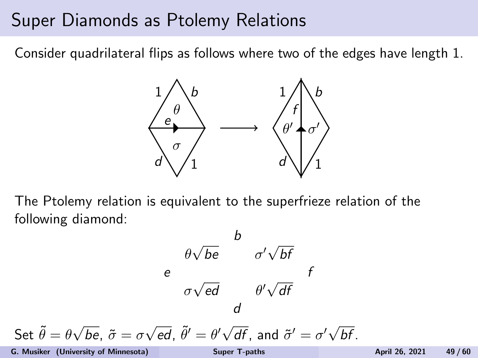### Super Diamonds as Ptolemy Relations

Consider quadrilateral flips as follows where two of the edges have length 1.



 $\mathbf{r}$ 

The Ptolemy relation is equivalent to the superfrieze relation of the following diamond:

$$
\theta\sqrt{be} \qquad \sigma'\sqrt{bf}
$$
  
  $e$   
  $\sigma\sqrt{ed} \qquad \theta'\sqrt{df}$   
  $d$   
Set  $\tilde{\theta} = \theta\sqrt{be}$ ,  $\tilde{\sigma} = \sigma\sqrt{ed}$ ,  $\tilde{\theta}' = \theta'\sqrt{df}$ , and  $\tilde{\sigma}' = \sigma'\sqrt{bf}$ .

G. Musiker (University of Minnesota) [Super T-paths](#page-0-0) April 26, 2021 49/60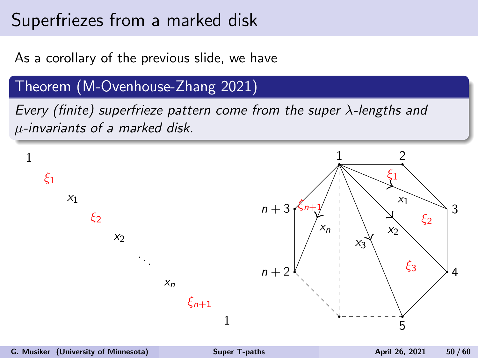As a corollary of the previous slide, we have

### Theorem (M-Ovenhouse-Zhang 2021)

Every (finite) superfrieze pattern come from the super  $\lambda$ -lengths and µ-invariants of a marked disk.

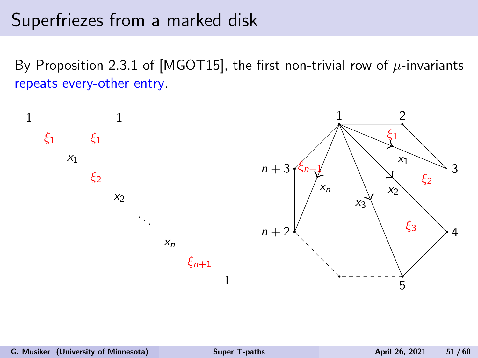By Proposition 2.3.1 of [\[MGOT15\]](#page-59-1), the first non-trivial row of  $\mu$ -invariants repeats every-other entry.

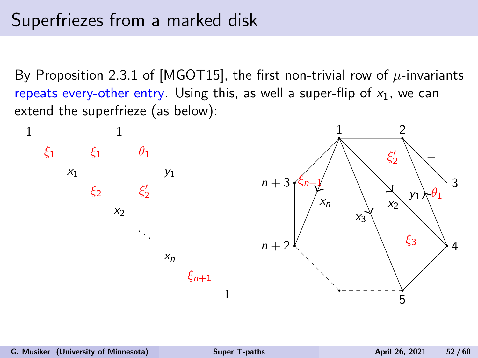By Proposition 2.3.1 of [\[MGOT15\]](#page-59-1), the first non-trivial row of  $\mu$ -invariants repeats every-other entry. Using this, as well a super-flip of  $x_1$ , we can extend the superfrieze (as below):

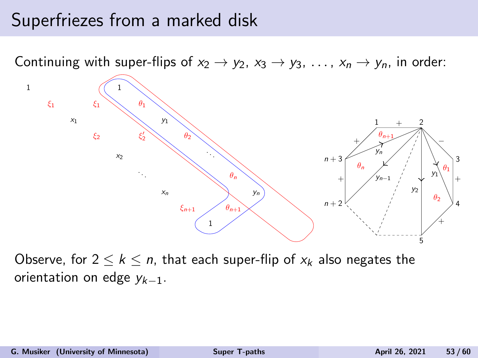

Observe, for  $2 \leq k \leq n$ , that each super-flip of  $x_k$  also negates the orientation on edge  $y_{k-1}$ .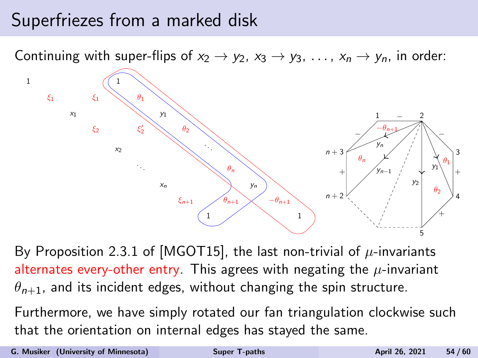Continuing with super-flips of  $x_2 \rightarrow y_2$ ,  $x_3 \rightarrow y_3$ , ...,  $x_n \rightarrow y_n$ , in order:



By Proposition 2.3.1 of [\[MGOT15\]](#page-59-1), the last non-trivial of  $\mu$ -invariants alternates every-other entry. This agrees with negating the  $\mu$ -invariant  $\theta_{n+1}$ , and its incident edges, without changing the spin structure.

Furthermore, we have simply rotated our fan triangulation clockwise such that the orientation on internal edges has stayed the same.

G. Musiker (University of Minnesota) [Super T-paths](#page-0-0) April 26, 2021 54 / 60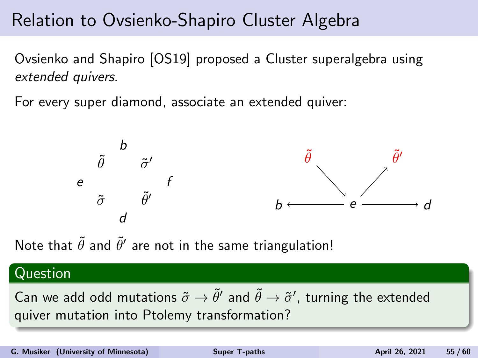## Relation to Ovsienko-Shapiro Cluster Algebra

Ovsienko and Shapiro [\[OS19\]](#page-59-5) proposed a Cluster superalgebra using extended quivers.

For every super diamond, associate an extended quiver:



Note that  $\widetilde{\theta}$  and  $\widetilde{\theta}'$  are not in the same triangulation!

#### Question

Can we add odd mutations  $\tilde{\sigma}\rightarrow\tilde{\theta}'$  and  $\tilde{\theta}\rightarrow\tilde{\sigma}'$ , turning the extended quiver mutation into Ptolemy transformation?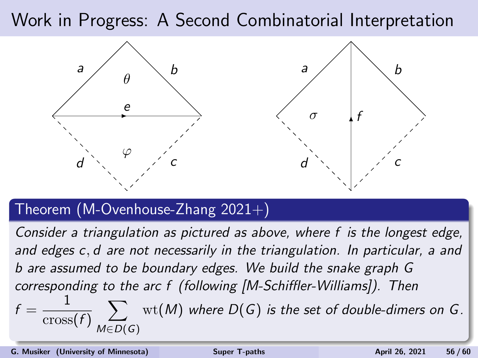## Work in Progress: A Second Combinatorial Interpretation



### Theorem (M-Ovenhouse-Zhang  $2021+$ )

Consider a triangulation as pictured as above, where f is the longest edge, and edges c, d are not necessarily in the triangulation. In particular, a and b are assumed to be boundary edges. We build the snake graph G corresponding to the arc f (following [M-Schiffler-Williams]). Then

$$
f = \frac{1}{\text{cross}(f)} \sum_{M \in D(G)} \text{wt}(M) \text{ where } D(G) \text{ is the set of double-dimens on } G.
$$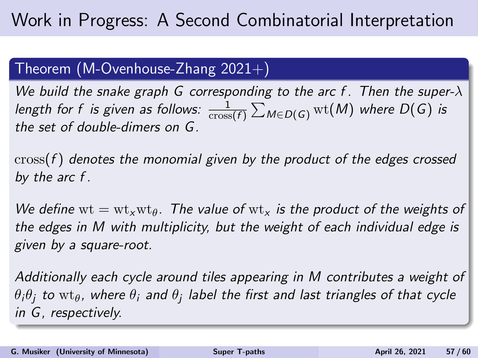### Theorem (M-Ovenhouse-Zhang  $2021+$ )

We build the snake graph G corresponding to the arc f. Then the super- $\lambda$ length for  $f$  is given as follows:  $\frac{1}{\mathrm{cross}(f)}\sum_{M\in D(G)}\mathrm{wt}(M)$  where  $D(G)$  is the set of double-dimers on G.

 $\csc(f)$  denotes the monomial given by the product of the edges crossed by the arc f .

We define  $wt = wt_xwt_\theta$ . The value of  $wt_x$  is the product of the weights of the edges in M with multiplicity, but the weight of each individual edge is given by a square-root.

Additionally each cycle around tiles appearing in M contributes a weight of  $\theta_i\theta_j$  to  ${\rm wt}_\theta$ , where  $\theta_i$  and  $\theta_j$  label the first and last triangles of that cycle in G, respectively.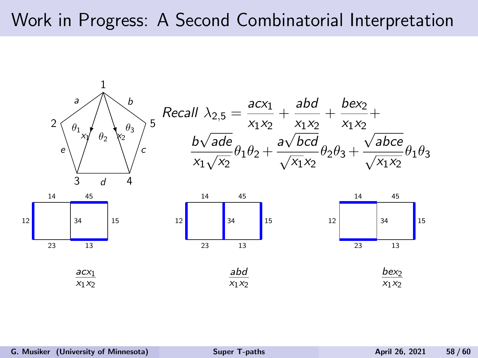### Work in Progress: A Second Combinatorial Interpretation

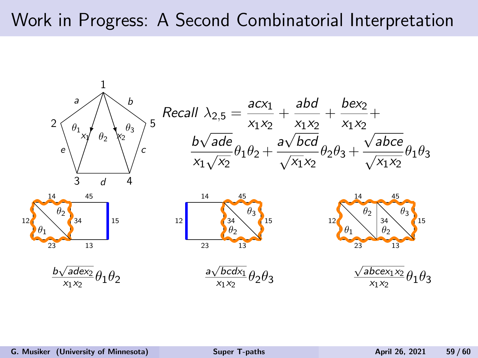### Work in Progress: A Second Combinatorial Interpretation